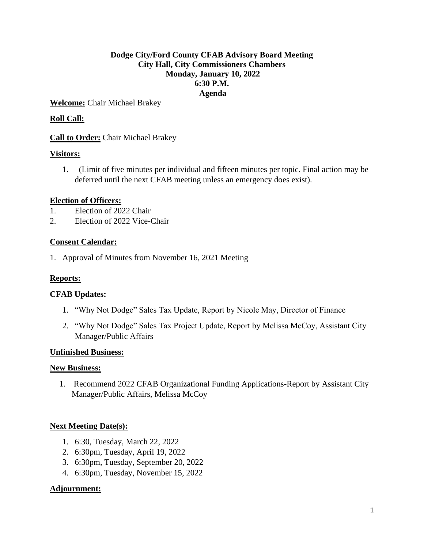# **Dodge City/Ford County CFAB Advisory Board Meeting City Hall, City Commissioners Chambers Monday, January 10, 2022 6:30 P.M. Agenda**

**Welcome:** Chair Michael Brakey

# **Roll Call:**

## **Call to Order:** Chair Michael Brakey

## **Visitors:**

1. (Limit of five minutes per individual and fifteen minutes per topic. Final action may be deferred until the next CFAB meeting unless an emergency does exist).

#### **Election of Officers:**

- 1. Election of 2022 Chair
- 2. Election of 2022 Vice-Chair

#### **Consent Calendar:**

1. Approval of Minutes from November 16, 2021 Meeting

#### **Reports:**

#### **CFAB Updates:**

- 1. "Why Not Dodge" Sales Tax Update, Report by Nicole May, Director of Finance
- 2. "Why Not Dodge" Sales Tax Project Update, Report by Melissa McCoy, Assistant City Manager/Public Affairs

#### **Unfinished Business:**

#### **New Business:**

1. Recommend 2022 CFAB Organizational Funding Applications-Report by Assistant City Manager/Public Affairs, Melissa McCoy

## **Next Meeting Date(s):**

- 1. 6:30, Tuesday, March 22, 2022
- 2. 6:30pm, Tuesday, April 19, 2022
- 3. 6:30pm, Tuesday, September 20, 2022
- 4. 6:30pm, Tuesday, November 15, 2022

#### **Adjournment:**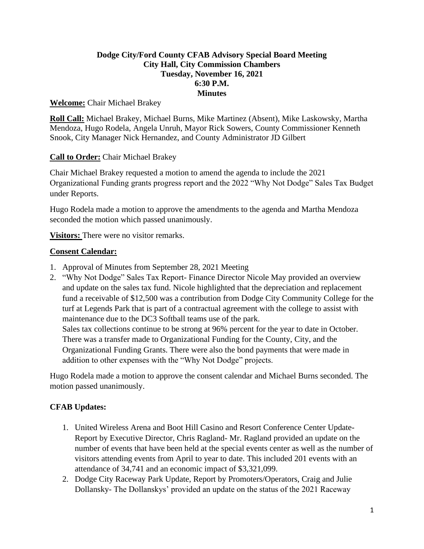# **Dodge City/Ford County CFAB Advisory Special Board Meeting City Hall, City Commission Chambers Tuesday, November 16, 2021 6:30 P.M. Minutes**

### **Welcome:** Chair Michael Brakey

**Roll Call:** Michael Brakey, Michael Burns, Mike Martinez (Absent), Mike Laskowsky, Martha Mendoza, Hugo Rodela, Angela Unruh, Mayor Rick Sowers, County Commissioner Kenneth Snook, City Manager Nick Hernandez, and County Administrator JD Gilbert

## **Call to Order:** Chair Michael Brakey

Chair Michael Brakey requested a motion to amend the agenda to include the 2021 Organizational Funding grants progress report and the 2022 "Why Not Dodge" Sales Tax Budget under Reports.

Hugo Rodela made a motion to approve the amendments to the agenda and Martha Mendoza seconded the motion which passed unanimously.

**Visitors:** There were no visitor remarks.

## **Consent Calendar:**

- 1. Approval of Minutes from September 28, 2021 Meeting
- 2. "Why Not Dodge" Sales Tax Report- Finance Director Nicole May provided an overview and update on the sales tax fund. Nicole highlighted that the depreciation and replacement fund a receivable of \$12,500 was a contribution from Dodge City Community College for the turf at Legends Park that is part of a contractual agreement with the college to assist with maintenance due to the DC3 Softball teams use of the park. Sales tax collections continue to be strong at 96% percent for the year to date in October.

There was a transfer made to Organizational Funding for the County, City, and the Organizational Funding Grants. There were also the bond payments that were made in addition to other expenses with the "Why Not Dodge" projects.

Hugo Rodela made a motion to approve the consent calendar and Michael Burns seconded. The motion passed unanimously.

## **CFAB Updates:**

- 1. United Wireless Arena and Boot Hill Casino and Resort Conference Center Update-Report by Executive Director, Chris Ragland- Mr. Ragland provided an update on the number of events that have been held at the special events center as well as the number of visitors attending events from April to year to date. This included 201 events with an attendance of 34,741 and an economic impact of \$3,321,099.
- 2. Dodge City Raceway Park Update, Report by Promoters/Operators, Craig and Julie Dollansky- The Dollanskys' provided an update on the status of the 2021 Raceway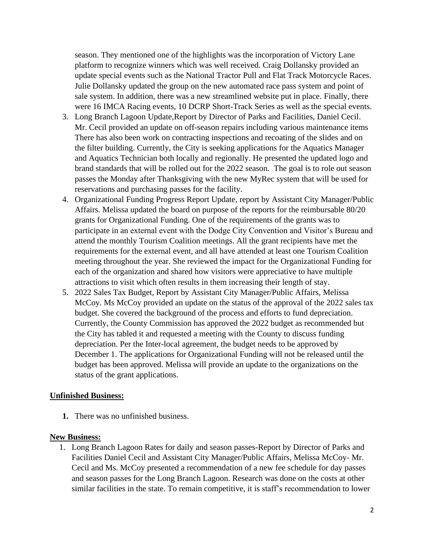season. They mentioned one of the highlights was the incorporation of Victory Lane platform to recognize winners which was well received. Craig Dollansky provided an update special events such as the National Tractor Pull and Flat Track Motorcycle Races. Julie Dollansky updated the group on the new automated race pass system and point of sale system. In addition, there was a new streamlined website put in place. Finally, there were 16 IMCA Racing events, 10 DCRP Short-Track Series as well as the special events.

- 3. Long Branch Lagoon Update,Report by Director of Parks and Facilities, Daniel Cecil. Mr. Cecil provided an update on off-season repairs including various maintenance items There has also been work on contracting inspections and recoating of the slides and on the filter building. Currently, the City is seeking applications for the Aquatics Manager and Aquatics Technician both locally and regionally. He presented the updated logo and brand standards that will be rolled out for the 2022 season. The goal is to role out season passes the Monday after Thanksgiving with the new MyRec system that will be used for reservations and purchasing passes for the facility.
- 4. Organizational Funding Progress Report Update, report by Assistant City Manager/Public Affairs. Melissa updated the board on purpose of the reports for the reimbursable 80/20 grants for Organizational Funding. One of the requirements of the grants was to participate in an external event with the Dodge City Convention and Visitor's Bureau and attend the monthly Tourism Coalition meetings. All the grant recipients have met the requirements for the external event, and all have attended at least one Tourism Coalition meeting throughout the year. She reviewed the impact for the Organizational Funding for each of the organization and shared how visitors were appreciative to have multiple attractions to visit which often results in them increasing their length of stay.
- 5. 2022 Sales Tax Budget, Report by Assistant City Manager/Public Affairs, Melissa McCoy. Ms McCoy provided an update on the status of the approval of the 2022 sales tax budget. She covered the background of the process and efforts to fund depreciation. Currently, the County Commission has approved the 2022 budget as recommended but the City has tabled it and requested a meeting with the County to discuss funding depreciation. Per the Inter-local agreement, the budget needs to be approved by December 1. The applications for Organizational Funding will not be released until the budget has been approved. Melissa will provide an update to the organizations on the status of the grant applications.

#### **Unfinished Business:**

**1.** There was no unfinished business.

#### **New Business:**

1. Long Branch Lagoon Rates for daily and season passes-Report by Director of Parks and Facilities Daniel Cecil and Assistant City Manager/Public Affairs, Melissa McCoy- Mr. Cecil and Ms. McCoy presented a recommendation of a new fee schedule for day passes and season passes for the Long Branch Lagoon. Research was done on the costs at other similar facilities in the state. To remain competitive, it is staff's recommendation to lower